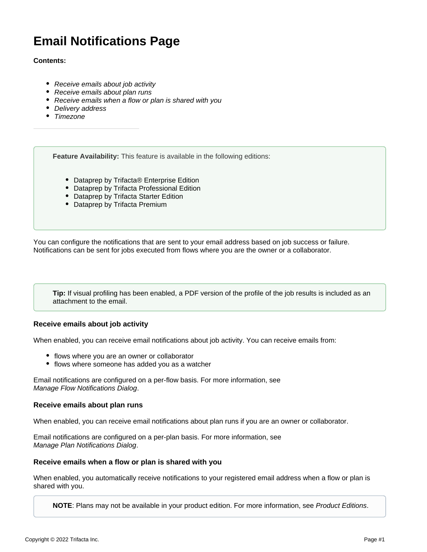# **Email Notifications Page**

#### **Contents:**

- [Receive emails about job activity](#page-0-0)
- [Receive emails about plan runs](#page-0-1)
- [Receive emails when a flow or plan is shared with you](#page-0-2)
- [Delivery address](#page-0-3)
- [Timezone](#page-1-0)

**Feature Availability:** This feature is available in the following editions:

- Dataprep by Trifacta® Enterprise Edition
- Dataprep by Trifacta Professional Edition
- Dataprep by Trifacta Starter Edition
- Dataprep by Trifacta Premium

You can configure the notifications that are sent to your email address based on job success or failure. Notifications can be sent for jobs executed from flows where you are the owner or a collaborator.

**Tip:** If visual profiling has been enabled, a PDF version of the profile of the job results is included as an attachment to the email.

#### <span id="page-0-0"></span>**Receive emails about job activity**

When enabled, you can receive email notifications about job activity. You can receive emails from:

- flows where you are an owner or collaborator
- flows where someone has added you as a watcher

Email notifications are configured on a per-flow basis. For more information, see [Manage Flow Notifications Dialog](https://docs.trifacta.com/display/DP/Manage+Flow+Notifications+Dialog).

#### <span id="page-0-1"></span>**Receive emails about plan runs**

When enabled, you can receive email notifications about plan runs if you are an owner or collaborator.

Email notifications are configured on a per-plan basis. For more information, see [Manage Plan Notifications Dialog](https://docs.trifacta.com/display/DP/Manage+Plan+Notifications+Dialog).

#### <span id="page-0-2"></span>**Receive emails when a flow or plan is shared with you**

When enabled, you automatically receive notifications to your registered email address when a flow or plan is shared with you.

<span id="page-0-3"></span>**NOTE**: Plans may not be available in your product edition. For more information, see [Product Editions](https://docs.trifacta.com/display/DP/Product+Editions).